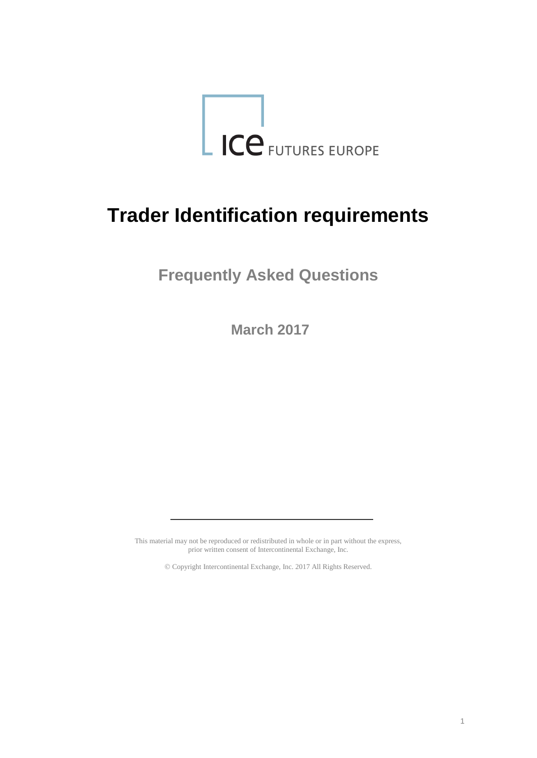

# **Trader Identification requirements**

**Frequently Asked Questions**

**March 2017**

This material may not be reproduced or redistributed in whole or in part without the express, prior written consent of Intercontinental Exchange, Inc.

Copyright Intercontinental Exchange, Inc. 2017 All Rights Reserved.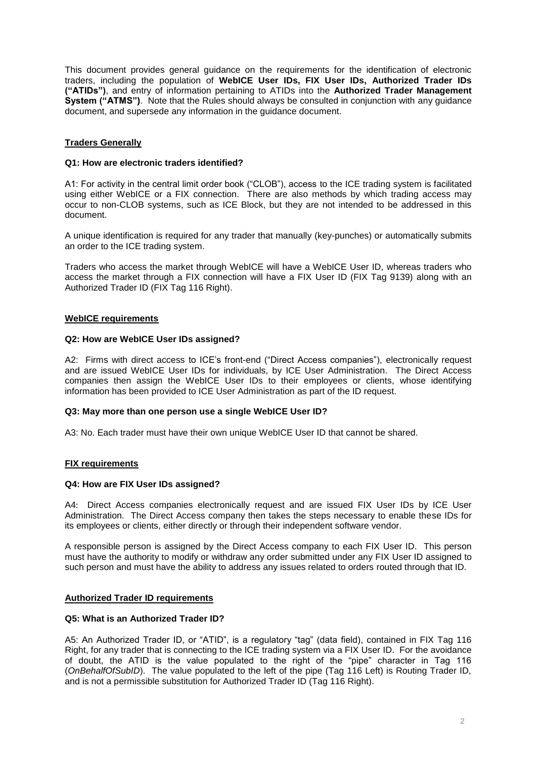This document provides general guidance on the requirements for the identification of electronic traders, including the population of **WebICE User IDs, FIX User IDs, Authorized Trader IDs ("ATIDs")**, and entry of information pertaining to ATIDs into the **Authorized Trader Management System ("ATMS")**. Note that the Rules should always be consulted in conjunction with any guidance document, and supersede any information in the guidance document.

# **Traders Generally**

# **Q1: How are electronic traders identified?**

A1: For activity in the central limit order book ("CLOB"), access to the ICE trading system is facilitated using either WebICE or a FIX connection. There are also methods by which trading access may occur to non-CLOB systems, such as ICE Block, but they are not intended to be addressed in this document.

A unique identification is required for any trader that manually (key-punches) or automatically submits an order to the ICE trading system.

Traders who access the market through WebICE will have a WebICE User ID, whereas traders who access the market through a FIX connection will have a FIX User ID (FIX Tag 9139) along with an Authorized Trader ID (FIX Tag 116 Right).

# **WebICE requirements**

# **Q2: How are WebICE User IDs assigned?**

A2: Firms with direct access to ICE's front-end ("Direct Access companies"), electronically request and are issued WebICE User IDs for individuals, by ICE User Administration. The Direct Access companies then assign the WebICE User IDs to their employees or clients, whose identifying information has been provided to ICE User Administration as part of the ID request.

#### **Q3: May more than one person use a single WebICE User ID?**

A3: No. Each trader must have their own unique WebICE User ID that cannot be shared.

# **FIX requirements**

# **Q4: How are FIX User IDs assigned?**

A4: Direct Access companies electronically request and are issued FIX User IDs by ICE User Administration. The Direct Access company then takes the steps necessary to enable these IDs for its employees or clients, either directly or through their independent software vendor.

A responsible person is assigned by the Direct Access company to each FIX User ID. This person must have the authority to modify or withdraw any order submitted under any FIX User ID assigned to such person and must have the ability to address any issues related to orders routed through that ID.

# **Authorized Trader ID requirements**

#### **Q5: What is an Authorized Trader ID?**

A5: An Authorized Trader ID, or "ATID", is a regulatory "tag" (data field), contained in FIX Tag 116 Right, for any trader that is connecting to the ICE trading system via a FIX User ID. For the avoidance of doubt, the ATID is the value populated to the right of the "pipe" character in Tag 116 (*OnBehalfOfSubID*). The value populated to the left of the pipe (Tag 116 Left) is Routing Trader ID, and is not a permissible substitution for Authorized Trader ID (Tag 116 Right).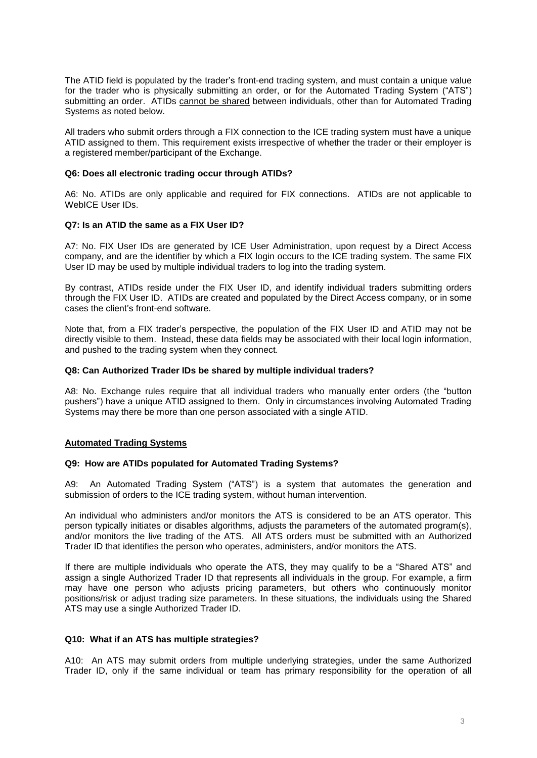The ATID field is populated by the trader's front-end trading system, and must contain a unique value for the trader who is physically submitting an order, or for the Automated Trading System ("ATS") submitting an order. ATIDs cannot be shared between individuals, other than for Automated Trading Systems as noted below.

All traders who submit orders through a FIX connection to the ICE trading system must have a unique ATID assigned to them. This requirement exists irrespective of whether the trader or their employer is a registered member/participant of the Exchange.

### **Q6: Does all electronic trading occur through ATIDs?**

A6: No. ATIDs are only applicable and required for FIX connections. ATIDs are not applicable to WebICE User IDs.

#### **Q7: Is an ATID the same as a FIX User ID?**

A7: No. FIX User IDs are generated by ICE User Administration, upon request by a Direct Access company, and are the identifier by which a FIX login occurs to the ICE trading system. The same FIX User ID may be used by multiple individual traders to log into the trading system.

By contrast, ATIDs reside under the FIX User ID, and identify individual traders submitting orders through the FIX User ID. ATIDs are created and populated by the Direct Access company, or in some cases the client's front-end software.

Note that, from a FIX trader's perspective, the population of the FIX User ID and ATID may not be directly visible to them. Instead, these data fields may be associated with their local login information, and pushed to the trading system when they connect.

### **Q8: Can Authorized Trader IDs be shared by multiple individual traders?**

A8: No. Exchange rules require that all individual traders who manually enter orders (the "button pushers") have a unique ATID assigned to them. Only in circumstances involving Automated Trading Systems may there be more than one person associated with a single ATID.

#### **Automated Trading Systems**

#### **Q9: How are ATIDs populated for Automated Trading Systems?**

A9: An Automated Trading System ("ATS") is a system that automates the generation and submission of orders to the ICE trading system, without human intervention.

An individual who administers and/or monitors the ATS is considered to be an ATS operator. This person typically initiates or disables algorithms, adjusts the parameters of the automated program(s), and/or monitors the live trading of the ATS. All ATS orders must be submitted with an Authorized Trader ID that identifies the person who operates, administers, and/or monitors the ATS.

If there are multiple individuals who operate the ATS, they may qualify to be a "Shared ATS" and assign a single Authorized Trader ID that represents all individuals in the group. For example, a firm may have one person who adjusts pricing parameters, but others who continuously monitor positions/risk or adjust trading size parameters. In these situations, the individuals using the Shared ATS may use a single Authorized Trader ID.

#### **Q10: What if an ATS has multiple strategies?**

A10: An ATS may submit orders from multiple underlying strategies, under the same Authorized Trader ID, only if the same individual or team has primary responsibility for the operation of all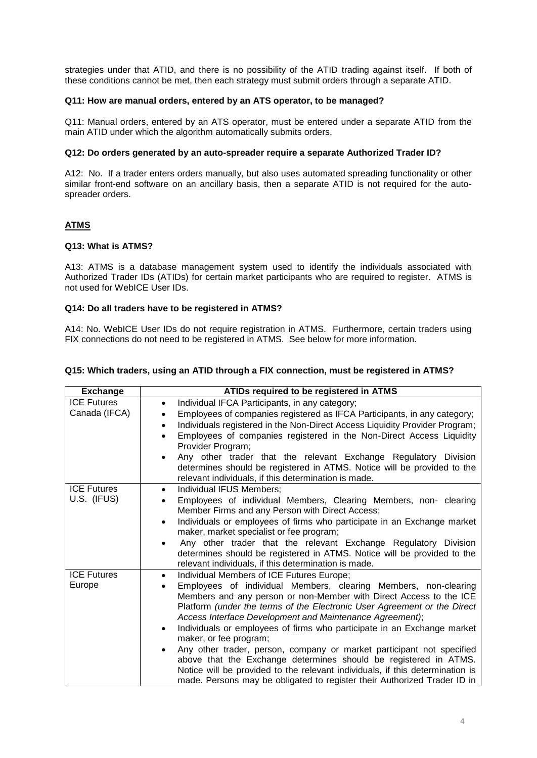strategies under that ATID, and there is no possibility of the ATID trading against itself. If both of these conditions cannot be met, then each strategy must submit orders through a separate ATID.

# **Q11: How are manual orders, entered by an ATS operator, to be managed?**

Q11: Manual orders, entered by an ATS operator, must be entered under a separate ATID from the main ATID under which the algorithm automatically submits orders.

# **Q12: Do orders generated by an auto-spreader require a separate Authorized Trader ID?**

A12: No. If a trader enters orders manually, but also uses automated spreading functionality or other similar front-end software on an ancillary basis, then a separate ATID is not required for the autospreader orders.

# **ATMS**

# **Q13: What is ATMS?**

A13: ATMS is a database management system used to identify the individuals associated with Authorized Trader IDs (ATIDs) for certain market participants who are required to register. ATMS is not used for WebICE User IDs.

# **Q14: Do all traders have to be registered in ATMS?**

A14: No. WebICE User IDs do not require registration in ATMS. Furthermore, certain traders using FIX connections do not need to be registered in ATMS. See below for more information.

| <b>Exchange</b>                     | ATIDs required to be registered in ATMS                                                                                                                                                                                                                                                                                                                                                                                                                                                                                                                                                                                                                                                                                                   |
|-------------------------------------|-------------------------------------------------------------------------------------------------------------------------------------------------------------------------------------------------------------------------------------------------------------------------------------------------------------------------------------------------------------------------------------------------------------------------------------------------------------------------------------------------------------------------------------------------------------------------------------------------------------------------------------------------------------------------------------------------------------------------------------------|
| <b>ICE Futures</b><br>Canada (IFCA) | Individual IFCA Participants, in any category;<br>$\bullet$<br>Employees of companies registered as IFCA Participants, in any category;<br>Individuals registered in the Non-Direct Access Liquidity Provider Program;<br>Employees of companies registered in the Non-Direct Access Liquidity<br>Provider Program;<br>Any other trader that the relevant Exchange Regulatory Division<br>determines should be registered in ATMS. Notice will be provided to the<br>relevant individuals, if this determination is made.                                                                                                                                                                                                                 |
| <b>ICE Futures</b><br>U.S. (IFUS)   | Individual IFUS Members;<br>$\bullet$<br>Employees of individual Members, Clearing Members, non- clearing<br>Member Firms and any Person with Direct Access;<br>Individuals or employees of firms who participate in an Exchange market<br>$\bullet$<br>maker, market specialist or fee program;<br>Any other trader that the relevant Exchange Regulatory Division<br>determines should be registered in ATMS. Notice will be provided to the<br>relevant individuals, if this determination is made.                                                                                                                                                                                                                                    |
| <b>ICE Futures</b><br>Europe        | Individual Members of ICE Futures Europe;<br>Employees of individual Members, clearing Members, non-clearing<br>Members and any person or non-Member with Direct Access to the ICE<br>Platform (under the terms of the Electronic User Agreement or the Direct<br>Access Interface Development and Maintenance Agreement);<br>Individuals or employees of firms who participate in an Exchange market<br>maker, or fee program;<br>Any other trader, person, company or market participant not specified<br>above that the Exchange determines should be registered in ATMS.<br>Notice will be provided to the relevant individuals, if this determination is<br>made. Persons may be obligated to register their Authorized Trader ID in |

#### **Q15: Which traders, using an ATID through a FIX connection, must be registered in ATMS?**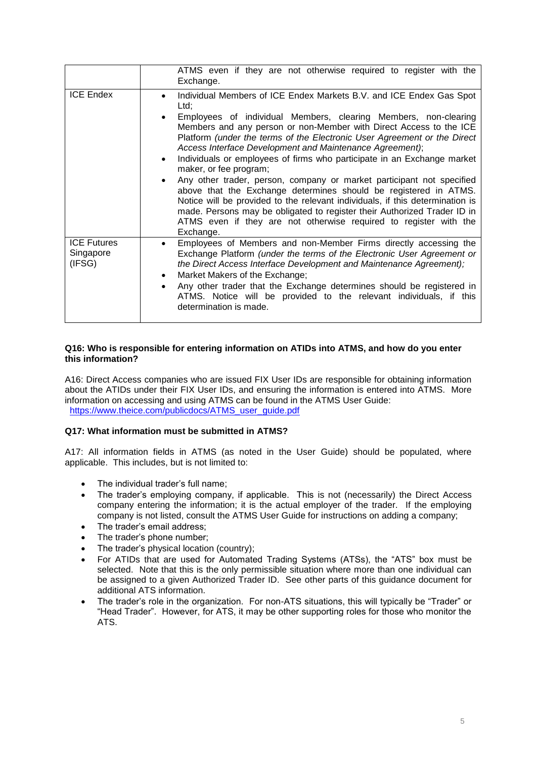|                                           | ATMS even if they are not otherwise required to register with the<br>Exchange.                                                                                                                                                                                                                                                                                                                                                                                                                                                                                                                                                                                                                                                                                                                                                                                             |
|-------------------------------------------|----------------------------------------------------------------------------------------------------------------------------------------------------------------------------------------------------------------------------------------------------------------------------------------------------------------------------------------------------------------------------------------------------------------------------------------------------------------------------------------------------------------------------------------------------------------------------------------------------------------------------------------------------------------------------------------------------------------------------------------------------------------------------------------------------------------------------------------------------------------------------|
| <b>ICE Endex</b>                          | Individual Members of ICE Endex Markets B.V. and ICE Endex Gas Spot<br>Ltd:<br>Employees of individual Members, clearing Members, non-clearing<br>Members and any person or non-Member with Direct Access to the ICE<br>Platform (under the terms of the Electronic User Agreement or the Direct<br>Access Interface Development and Maintenance Agreement);<br>Individuals or employees of firms who participate in an Exchange market<br>$\bullet$<br>maker, or fee program;<br>Any other trader, person, company or market participant not specified<br>above that the Exchange determines should be registered in ATMS.<br>Notice will be provided to the relevant individuals, if this determination is<br>made. Persons may be obligated to register their Authorized Trader ID in<br>ATMS even if they are not otherwise required to register with the<br>Exchange. |
| <b>ICE Futures</b><br>Singapore<br>(IFSG) | Employees of Members and non-Member Firms directly accessing the<br>Exchange Platform (under the terms of the Electronic User Agreement or<br>the Direct Access Interface Development and Maintenance Agreement);<br>Market Makers of the Exchange;<br>$\bullet$<br>Any other trader that the Exchange determines should be registered in<br>ATMS. Notice will be provided to the relevant individuals, if this<br>determination is made.                                                                                                                                                                                                                                                                                                                                                                                                                                  |

# **Q16: Who is responsible for entering information on ATIDs into ATMS, and how do you enter this information?**

A16: Direct Access companies who are issued FIX User IDs are responsible for obtaining information about the ATIDs under their FIX User IDs, and ensuring the information is entered into ATMS. More information on accessing and using ATMS can be found in the ATMS User Guide: [https://www.theice.com/publicdocs/ATMS\\_user\\_guide.pdf](https://www.theice.com/publicdocs/ATMS_user_guide.pdf)

# **Q17: What information must be submitted in ATMS?**

A17: All information fields in ATMS (as noted in the User Guide) should be populated, where applicable. This includes, but is not limited to:

- The individual trader's full name;
- The trader's employing company, if applicable. This is not (necessarily) the Direct Access company entering the information; it is the actual employer of the trader. If the employing company is not listed, consult the ATMS User Guide for instructions on adding a company;
- The trader's email address;
- The trader's phone number;
- The trader's physical location (country);
- For ATIDs that are used for Automated Trading Systems (ATSs), the "ATS" box must be selected. Note that this is the only permissible situation where more than one individual can be assigned to a given Authorized Trader ID. See other parts of this guidance document for additional ATS information.
- The trader's role in the organization. For non-ATS situations, this will typically be "Trader" or "Head Trader". However, for ATS, it may be other supporting roles for those who monitor the ATS.